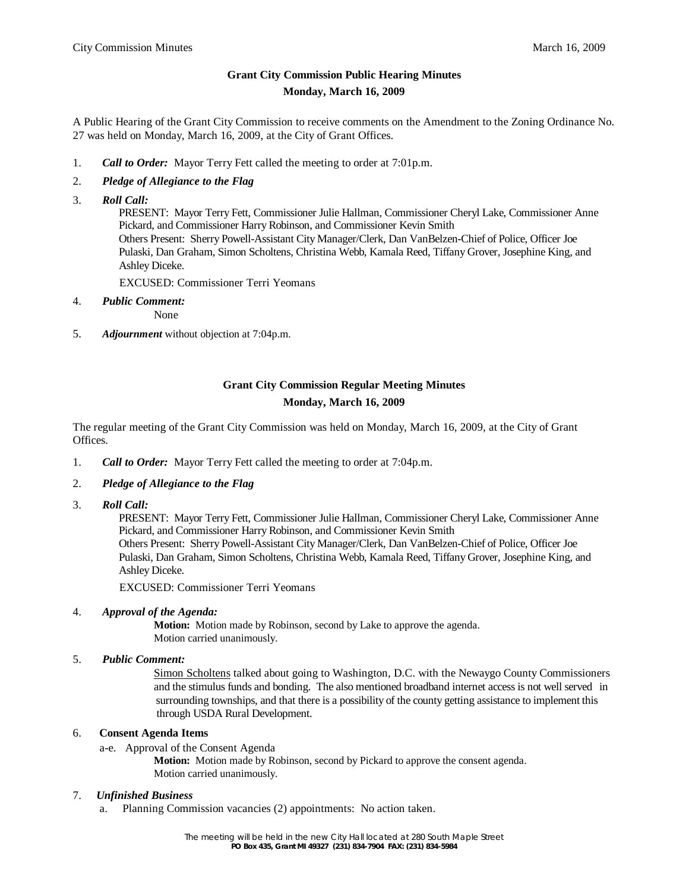## **Grant City Commission Public Hearing Minutes Monday, March 16, 2009**

A Public Hearing of the Grant City Commission to receive comments on the Amendment to the Zoning Ordinance No. 27 was held on Monday, March 16, 2009, at the City of Grant Offices.

1. *Call to Order:* Mayor Terry Fett called the meeting to order at 7:01p.m.

### 2. *Pledge of Allegiance to the Flag*

3. *Roll Call:*

 PRESENT: Mayor Terry Fett, Commissioner Julie Hallman, Commissioner Cheryl Lake, Commissioner Anne Pickard, and Commissioner Harry Robinson, and Commissioner Kevin Smith Others Present: Sherry Powell-Assistant City Manager/Clerk, Dan VanBelzen-Chief of Police, Officer Joe Pulaski, Dan Graham, Simon Scholtens, Christina Webb, Kamala Reed, Tiffany Grover, Josephine King, and Ashley Diceke.

EXCUSED: Commissioner Terri Yeomans

4. *Public Comment:*

None

5. *Adjournment* without objection at 7:04p.m.

# **Grant City Commission Regular Meeting Minutes Monday, March 16, 2009**

The regular meeting of the Grant City Commission was held on Monday, March 16, 2009, at the City of Grant Offices.

- 1. *Call to Order:* Mayor Terry Fett called the meeting to order at 7:04p.m.
- 2. *Pledge of Allegiance to the Flag*
- 3. *Roll Call:*

 PRESENT: Mayor Terry Fett, Commissioner Julie Hallman, Commissioner Cheryl Lake, Commissioner Anne Pickard, and Commissioner Harry Robinson, and Commissioner Kevin Smith Others Present: Sherry Powell-Assistant City Manager/Clerk, Dan VanBelzen-Chief of Police, Officer Joe Pulaski, Dan Graham, Simon Scholtens, Christina Webb, Kamala Reed, Tiffany Grover, Josephine King, and Ashley Diceke.

EXCUSED: Commissioner Terri Yeomans

### 4. *Approval of the Agenda:*

**Motion:** Motion made by Robinson, second by Lake to approve the agenda. Motion carried unanimously.

5. *Public Comment:*

Simon Scholtens talked about going to Washington, D.C. with the Newaygo County Commissioners and the stimulus funds and bonding. The also mentioned broadband internet access is not well served in surrounding townships, and that there is a possibility of the county getting assistance to implement this through USDA Rural Development.

### 6. **Consent Agenda Items**

a-e. Approval of the Consent Agenda **Motion:** Motion made by Robinson, second by Pickard to approve the consent agenda. Motion carried unanimously.

## 7. *Unfinished Business*

a. Planning Commission vacancies (2) appointments: No action taken.